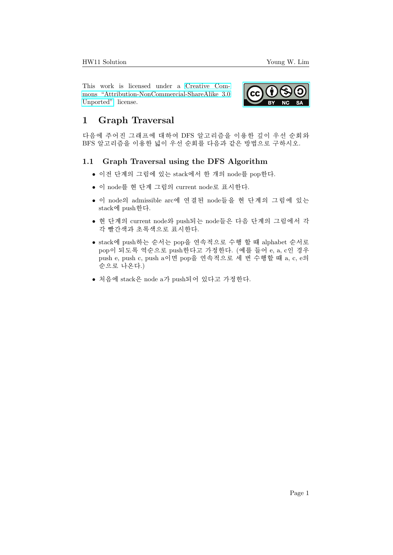This work is licensed under a [Creative Com](https://creativecommons.org/licenses/by-nc-sa/3.0/deed.en)[mons "Attribution-NonCommercial-ShareAlike 3.0](https://creativecommons.org/licenses/by-nc-sa/3.0/deed.en) [Unported"](https://creativecommons.org/licenses/by-nc-sa/3.0/deed.en) license.



## 1 Graph Traversal

다음에 주어진 그래프에 대하여 DFS 알고리즘을 이용한 깊이 우선 순회와 BFS 알고리즘을 이용한 넓이 우선 순회를 다음과 같은 방법으로 구하시오.

## 1.1 Graph Traversal using the DFS Algorithm

- $\bullet$  이전 단계의 그림에 있는 stack에서 한 개의 node를 pop한다.
- 이 node를 현 단계 그림의 current node로 표시한다.
- 이 node의 admissible arc에 연결된 node들을 현 단계의 그림에 있는 stack에 push한다.
- 현 단계의 current node와 push되는 node들은 다음 단계의 그림에서 각 각 빨간색과 초록색으로 표시하다.
- stack에 push하는 순서는 pop을 연속적으로 수행 할 때 alphabet 순서로 pop이 되도록 역순으로 push한다고 가정한다. (예를 들어 e, a, c인 경우 push e, push c, push a이면 pop을 연속적으로 세 번 수행할 때 a, c, e의 순으로 나온다.)
- $\bullet$  처음에 stack은 node a가 push되어 있다고 가정한다.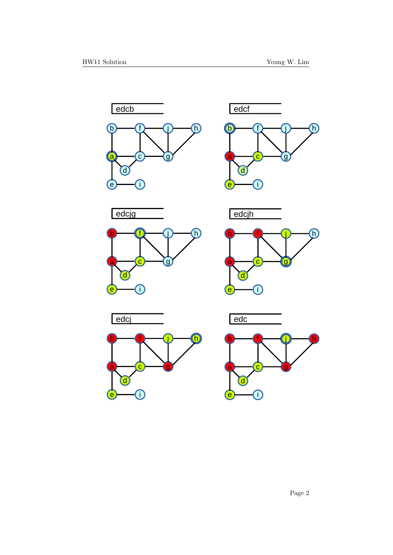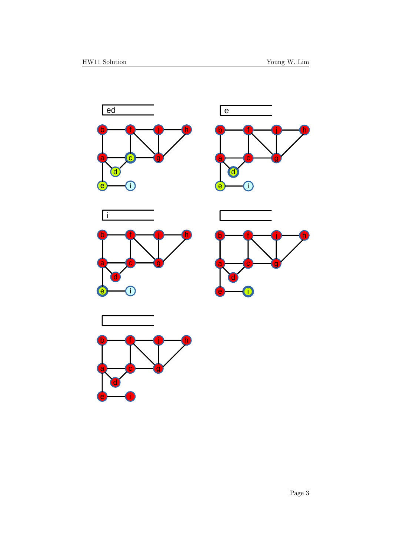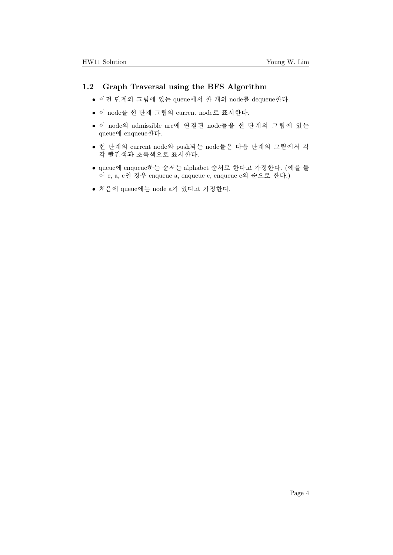## 1.2 Graph Traversal using the BFS Algorithm

- $\bullet$  이전 단계의 그림에 있는 queue에서 한 개의 node를 dequeue한다.
- 이 node를 현 단계 그림의 current node로 표시한다.
- 이 node의 admissible arc에 연결된 node들을 현 단계의 그림에 있는 queue에 enqueue한다.
- 현 단계의 current node와 push되는 node들은 다음 단계의 그림에서 각 각 빨간색과 초록색으로 표시한다.
- queue에 enqueue하는 순서는 alphabet 순서로 한다고 가정한다. (예를 들 어 e, a, c인 경우 enqueue a, enqueue c, enqueue e의 순으로 한다.)
- $\bullet$  처음에 queue에는 node a가 있다고 가정한다.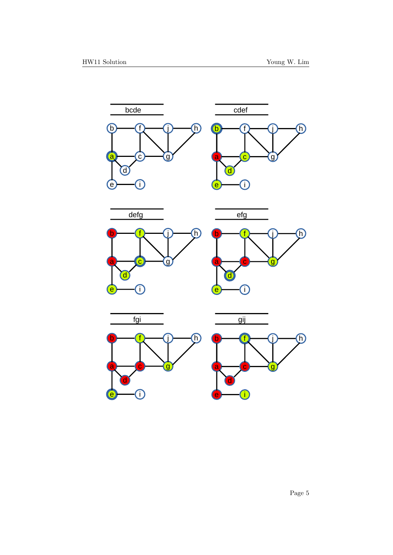